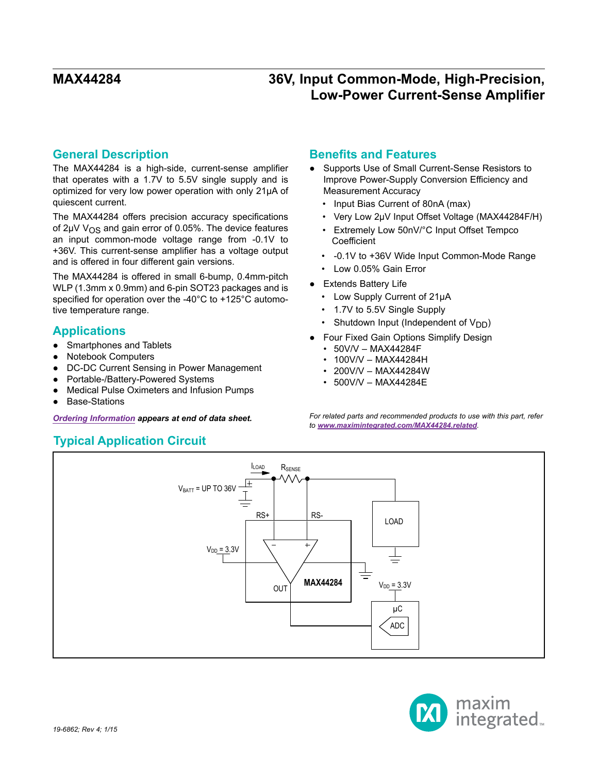## **General Description**

The MAX44284 is a high-side, current-sense amplifier that operates with a 1.7V to 5.5V single supply and is optimized for very low power operation with only 21µA of quiescent current.

The MAX44284 offers precision accuracy specifications of  $2\mu$ V V<sub>OS</sub> and gain error of 0.05%. The device features an input common-mode voltage range from -0.1V to +36V. This current-sense amplifier has a voltage output and is offered in four different gain versions.

The MAX44284 is offered in small 6-bump, 0.4mm-pitch WLP (1.3mm x 0.9mm) and 6-pin SOT23 packages and is specified for operation over the -40°C to +125°C automotive temperature range.

## **Applications**

- Smartphones and Tablets
- **Notebook Computers**
- **DC-DC Current Sensing in Power Management**
- Portable-/Battery-Powered Systems
- Medical Pulse Oximeters and Infusion Pumps
- **Base-Stations**

## **Typical Application Circuit**

## **Benefits and Features**

- Supports Use of Small Current-Sense Resistors to Improve Power-Supply Conversion Efficiency and Measurement Accuracy
	- Input Bias Current of 80nA (max)
	- Very Low 2μV Input Offset Voltage (MAX44284F/H)
	- Extremely Low 50nV/°C Input Offset Tempco **Coefficient**
	- -0.1V to +36V Wide Input Common-Mode Range
	- Low 0.05% Gain Error
- Extends Battery Life
	- Low Supply Current of 21μA
	- 1.7V to 5.5V Single Supply
	- Shutdown Input (Independent of  $V_{DD}$ )
- **Four Fixed Gain Options Simplify Design** 
	- 50V/V MAX44284F
	- 100V/V MAX44284H
	- 200V/V MAX44284W
	- 500V/V MAX44284E

*[Ordering Information](#page-12-0) appears at end of data sheet. For related parts and recommended products to use with this part, refer to www.maximintegrated.com/MAX44284.related.*



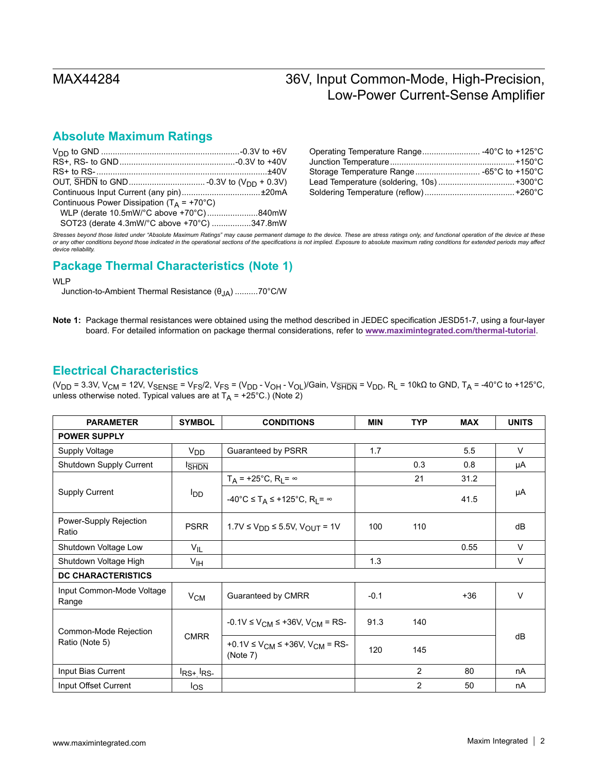## **Absolute Maximum Ratings**

| Continuous Power Dissipation ( $T_A$ = +70°C) |  |
|-----------------------------------------------|--|
| WLP (derate 10.5mW/°C above +70°C)840mW       |  |
| SOT23 (derate 4.3mW/°C above +70°C) 347.8mW   |  |

| Operating Temperature Range -40°C to +125°C |  |
|---------------------------------------------|--|
|                                             |  |
|                                             |  |
|                                             |  |
|                                             |  |

*Stresses beyond those listed under "Absolute Maximum Ratings" may cause permanent damage to the device. These are stress ratings only, and functional operation of the device at these or any other conditions beyond those indicated in the operational sections of the specifications is not implied. Exposure to absolute maximum rating conditions for extended periods may affect device reliability.*

# **Package Thermal Characteristics (Note 1)**

### WLP

Junction-to-Ambient Thermal Resistance (θJA) ..........70°C/W

**Note 1:** Package thermal resistances were obtained using the method described in JEDEC specification JESD51-7, using a four-layer board. For detailed information on package thermal considerations, refer to **www.maximintegrated.com/thermal-tutorial**.

## **Electrical Characteristics**

(V<sub>DD</sub> = 3.3V, V<sub>CM</sub> = 12V, V<sub>SENSE</sub> = V<sub>FS</sub>/2, V<sub>FS</sub> = (V<sub>DD</sub> - V<sub>OH</sub> - V<sub>OL</sub>)/Gain, V<sub>SHDN</sub> = V<sub>DD</sub>, R<sub>L</sub> = 10kΩ to GND, T<sub>A</sub> = -40°C to +125°C, unless otherwise noted. Typical values are at  $T_A$  = +25°C.) (Note 2)

| <b>PARAMETER</b>                   | <b>SYMBOL</b>                                                      | <b>CONDITIONS</b>                                                              |        | <b>TYP</b>     | <b>MAX</b> | <b>UNITS</b> |
|------------------------------------|--------------------------------------------------------------------|--------------------------------------------------------------------------------|--------|----------------|------------|--------------|
| <b>POWER SUPPLY</b>                |                                                                    |                                                                                |        |                |            |              |
| Supply Voltage                     | V <sub>DD</sub>                                                    | Guaranteed by PSRR                                                             | 1.7    |                | 5.5        | $\vee$       |
| Shutdown Supply Current            | <b>SHDN</b>                                                        |                                                                                |        | 0.3            | 0.8        | μA           |
|                                    |                                                                    | $T_A$ = +25°C, R <sub>L</sub> = $\infty$                                       |        | 21             | 31.2       |              |
| <b>Supply Current</b>              | <b>I</b> <sub>DD</sub>                                             | $-40^{\circ}$ C $\leq$ T <sub>A</sub> $\leq$ +125°C, R <sub>I</sub> = $\infty$ |        |                | 41.5       | μA           |
| Power-Supply Rejection<br>Ratio    | <b>PSRR</b>                                                        | 1.7V ≤ $V_{DD}$ ≤ 5.5V, $V_{OUT}$ = 1V                                         | 100    | 110            |            | dB           |
| Shutdown Voltage Low               | $V_{IL}$                                                           |                                                                                |        |                | 0.55       | $\vee$       |
| Shutdown Voltage High              | V <sub>IH</sub>                                                    |                                                                                | 1.3    |                |            | $\vee$       |
| <b>DC CHARACTERISTICS</b>          |                                                                    |                                                                                |        |                |            |              |
| Input Common-Mode Voltage<br>Range | $V_{CM}$                                                           | Guaranteed by CMRR                                                             | $-0.1$ |                | $+36$      | $\vee$       |
| Common-Mode Rejection              |                                                                    | $-0.1V \le V_{CM} \le +36V$ , $V_{CM} = RS$                                    | 91.3   | 140            |            |              |
| Ratio (Note 5)                     | <b>CMRR</b><br>+0.1V ≤ $V_{CM}$ ≤ +36V, $V_{CM}$ = RS-<br>(Note 7) | 120                                                                            | 145    |                | dB         |              |
| Input Bias Current                 | $I_{RS+}I_{RS-}$                                                   |                                                                                |        | 2              | 80         | nA           |
| Input Offset Current               | los                                                                |                                                                                |        | $\overline{2}$ | 50         | nA           |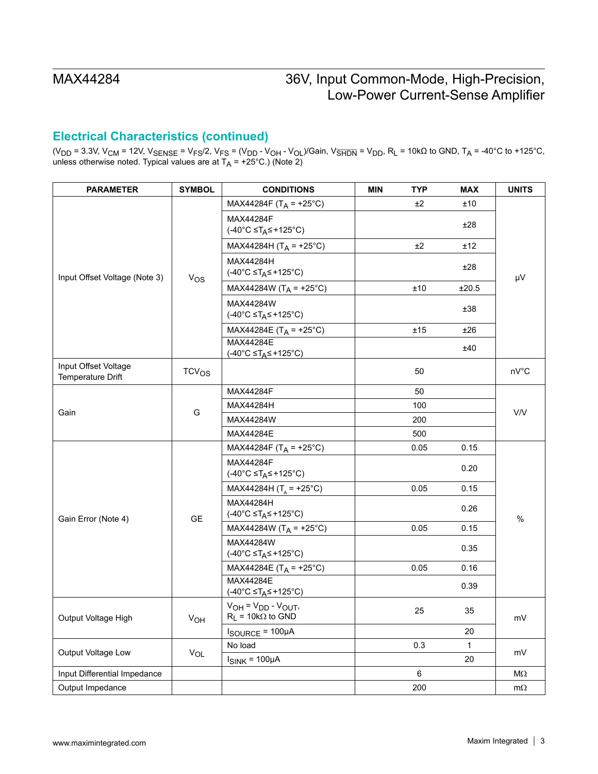## **Electrical Characteristics (continued)**

(V<sub>DD</sub> = 3.3V, V<sub>CM</sub> = 12V, V<sub>SENSE</sub> = V<sub>FS</sub>/2, V<sub>FS</sub> = (V<sub>DD</sub> - V<sub>OH</sub> - V<sub>OL</sub>)/Gain, V<del>SHDN</del> = V<sub>DD</sub>, R<sub>L</sub> = 10kΩ to GND, T<sub>A</sub> = -40°C to +125°C, unless otherwise noted. Typical values are at T<sub>A</sub> = +25°C.) (Note 2)

| <b>PARAMETER</b>                          | <b>SYMBOL</b> | <b>CONDITIONS</b>                                          | <b>MIN</b> | <b>TYP</b> | <b>MAX</b>  | <b>UNITS</b> |  |
|-------------------------------------------|---------------|------------------------------------------------------------|------------|------------|-------------|--------------|--|
|                                           |               | MAX44284F (T <sub>A</sub> = +25°C)                         |            | ±2         | ±10         |              |  |
|                                           |               | MAX44284F<br>$(-40^{\circ}C \leq T_A \leq +125^{\circ}C)$  |            |            | ±28         |              |  |
|                                           |               | MAX44284H (T <sub>A</sub> = +25°C)                         |            | ±2         | ±12         |              |  |
| Input Offset Voltage (Note 3)             | $V_{OS}$      | MAX44284H<br>$(-40^{\circ}C \leq T_A \leq +125^{\circ}C)$  |            |            | ±28         | μV           |  |
|                                           |               | MAX44284W (T <sub>A</sub> = +25°C)                         |            | ±10        | ±20.5       |              |  |
|                                           |               | MAX44284W<br>$(-40^{\circ}C \leq T_A \leq +125^{\circ}C)$  |            |            | ±38         |              |  |
|                                           |               | MAX44284E (T <sub>A</sub> = +25°C)                         |            | ±15        | ±26         |              |  |
|                                           |               | MAX44284E<br>$(-40^{\circ}C \leq T_A \leq +125^{\circ}C)$  |            |            | ±40         |              |  |
| Input Offset Voltage<br>Temperature Drift | $TCV_{OS}$    |                                                            |            | 50         |             | nV°C         |  |
|                                           |               | MAX44284F                                                  |            | 50         |             | V/V          |  |
|                                           | G             | MAX44284H                                                  |            | 100        |             |              |  |
| Gain                                      |               | MAX44284W                                                  |            | 200        |             |              |  |
|                                           |               | MAX44284E                                                  |            | 500        |             |              |  |
|                                           |               | MAX44284F (T <sub>A</sub> = +25°C)                         |            | 0.05       | 0.15        |              |  |
|                                           |               | MAX44284F<br>$(-40^{\circ}C \leq T_A \leq +125^{\circ}C)$  |            |            | 0.20        |              |  |
|                                           |               | MAX44284H (T <sub>A</sub> = +25°C)                         |            | 0.05       | 0.15        | %            |  |
| Gain Error (Note 4)                       | <b>GE</b>     | MAX44284H<br>$(-40^{\circ}C \leq T_A \leq +125^{\circ}C)$  |            |            | 0.26        |              |  |
|                                           |               | MAX44284W (T <sub>A</sub> = +25°C)                         |            | 0.05       | 0.15        |              |  |
|                                           |               | MAX44284W<br>$(-40^{\circ}C \leq T_A \leq +125^{\circ}C)$  |            |            | 0.35        |              |  |
|                                           |               | MAX44284E (T <sub>A</sub> = +25°C)                         |            | 0.05       | 0.16        |              |  |
|                                           |               | MAX44284E<br>$(-40^{\circ}C \leq T_A \leq +125^{\circ}C)$  |            |            | 0.39        |              |  |
| Output Voltage High                       | $\rm v_{OH}$  | $V_{OH} = V_{DD} - V_{OUT}$<br>$R_L$ = 10k $\Omega$ to GND |            | 25         | 35          | mV           |  |
|                                           |               | $I_{\text{SOURCE}} = 100 \mu A$                            |            |            | 20          |              |  |
| Output Voltage Low                        | $V_{OL}$      | No load                                                    |            | 0.3        | $\mathbf 1$ | mV           |  |
|                                           |               | $I_{SINK}$ = 100 $\mu$ A                                   |            |            | 20          |              |  |
| Input Differential Impedance              |               |                                                            |            | 6          |             | $M\Omega$    |  |
| Output Impedance                          |               |                                                            |            | 200        |             | $m\Omega$    |  |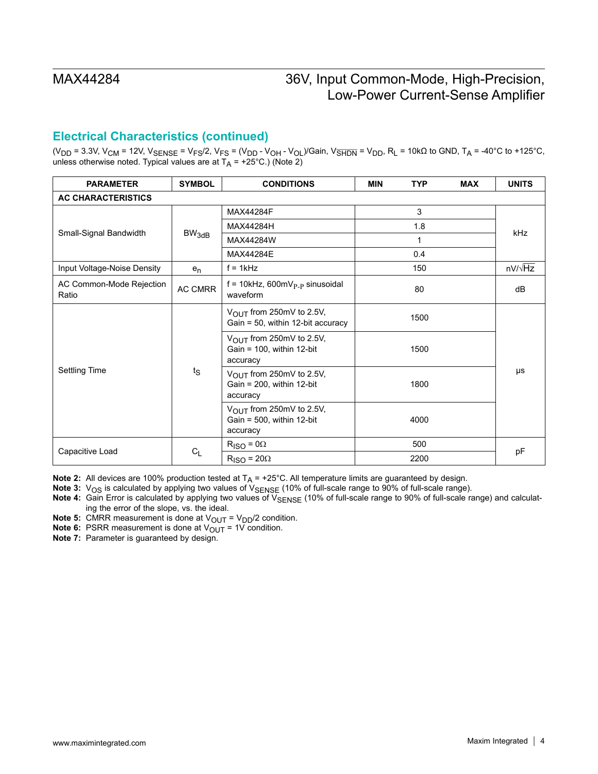## **Electrical Characteristics (continued)**

(V<sub>DD</sub> = 3.3V, V<sub>CM</sub> = 12V, V<sub>SENSE</sub> = V<sub>FS</sub>/2, V<sub>FS</sub> = (V<sub>DD</sub> - V<sub>OH</sub> - V<sub>OL</sub>)/Gain, V<sub>SHDN</sub> = V<sub>DD</sub>, R<sub>L</sub> = 10kΩ to GND, T<sub>A</sub> = -40°C to +125°C, unless otherwise noted. Typical values are at  $T_A$  = +25°C.) (Note 2)

| <b>PARAMETER</b>                  | <b>SYMBOL</b> | <b>CONDITIONS</b>                                                                | <b>MIN</b> | <b>TYP</b> | <b>MAX</b> | <b>UNITS</b> |  |
|-----------------------------------|---------------|----------------------------------------------------------------------------------|------------|------------|------------|--------------|--|
| <b>AC CHARACTERISTICS</b>         |               |                                                                                  |            |            |            |              |  |
|                                   |               | MAX44284F                                                                        |            | 3          |            |              |  |
|                                   |               | MAX44284H                                                                        | 1.8<br>1   |            |            |              |  |
| Small-Signal Bandwidth            | $BW_{3dB}$    | MAX44284W                                                                        |            |            |            | <b>kHz</b>   |  |
|                                   |               | MAX44284E                                                                        |            | 0.4        |            |              |  |
| Input Voltage-Noise Density       | $e_n$         | $f = 1kHz$                                                                       |            | 150        |            | nV/√Hz       |  |
| AC Common-Mode Rejection<br>Ratio | AC CMRR       | $f = 10kHz$ , 600mV <sub>P-P</sub> sinusoidal<br>waveform                        | 80         |            | dB         |              |  |
| Settling Time                     | $t_{\rm S}$   | $V_{\text{OUT}}$ from 250mV to 2.5V,<br>Gain = 50, within 12-bit accuracy        | 1500       |            |            |              |  |
|                                   |               | $V_{\text{OUT}}$ from 250mV to 2.5V,<br>Gain = $100$ , within 12-bit<br>accuracy |            | 1500       |            |              |  |
|                                   |               | V <sub>OUT</sub> from 250mV to 2.5V,<br>Gain = $200$ , within 12-bit<br>accuracy |            | 1800       |            | μs           |  |
|                                   |               | V <sub>OUT</sub> from 250mV to 2.5V,<br>Gain = $500$ , within 12-bit<br>accuracy |            | 4000       |            |              |  |
|                                   |               | $R_{\text{ISO}} = 0\Omega$                                                       | 500        |            |            |              |  |
| Capacitive Load                   | $C_{L}$       | $R_{\text{ISO}} = 20\Omega$                                                      |            | 2200       |            | pF           |  |

**Note 2:** All devices are 100% production tested at  $T_A = +25^{\circ}C$ . All temperature limits are guaranteed by design.

Note 3: V<sub>OS</sub> is calculated by applying two values of V<sub>SENSE</sub> (10% of full-scale range to 90% of full-scale range).

Note 4: Gain Error is calculated by applying two values of V<sub>SENSE</sub> (10% of full-scale range to 90% of full-scale range) and calculating the error of the slope, vs. the ideal.

**Note 5:** CMRR measurement is done at  $V_{\text{OUT}} = V_{\text{DD}}/2$  condition.

**Note 6:** PSRR measurement is done at  $V_{\text{OUT}} = 1V$  condition.

**Note 7:** Parameter is guaranteed by design.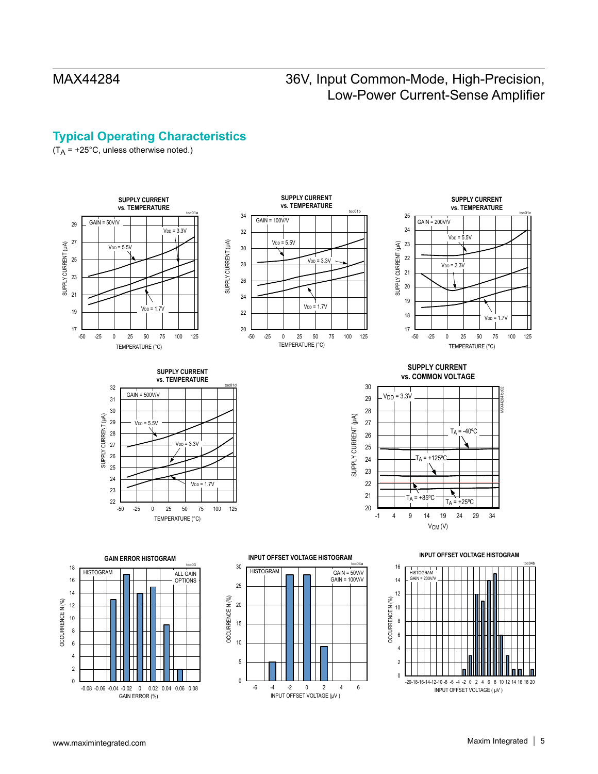# **Typical Operating Characteristics**

 $(T_A = +25^{\circ}C,$  unless otherwise noted.)



-6 -4 -2 0 2 4 6

INPUT OFFSET VOLTAGE (μV )

INPUT OFFSET VOLTAGE ( μV )

-0.08 -0.06 -0.04 -0.02 0 0.02 0.04 0.06 0.08

GAIN ERROR (%)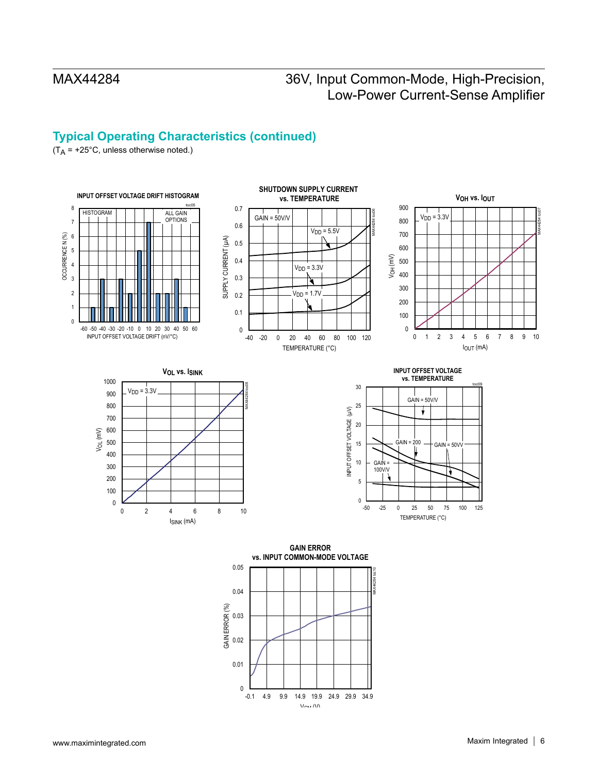# **Typical Operating Characteristics (continued)**

 $(T_A = +25^{\circ}C,$  unless otherwise noted.)



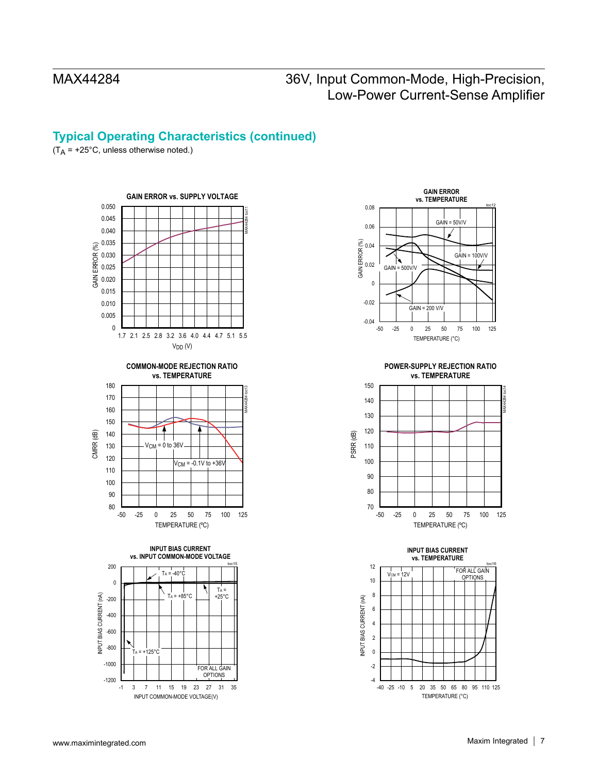## **Typical Operating Characteristics (continued)**

 $(T_A = +25^{\circ}C,$  unless otherwise noted.)





**POWER-SUPPLY REJECTION RATIO vs. TEMPERATURE**



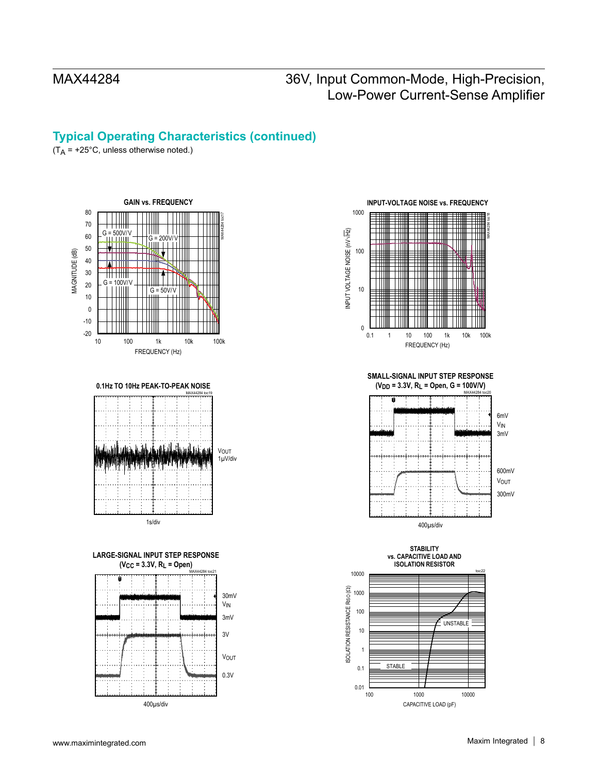## **Typical Operating Characteristics (continued)**

 $(T_A = +25^{\circ}C,$  unless otherwise noted.)





### **LARGE-SIGNAL INPUT STEP RESPONSE (V<sub>CC</sub> = 3.3V, R<sub>L</sub> = Open)**





**SMALL-SIGNAL INPUT STEP RESPONSE** (V<sub>DD</sub> = 3.3V, R<sub>L</sub> = Open, G = 100V/V)





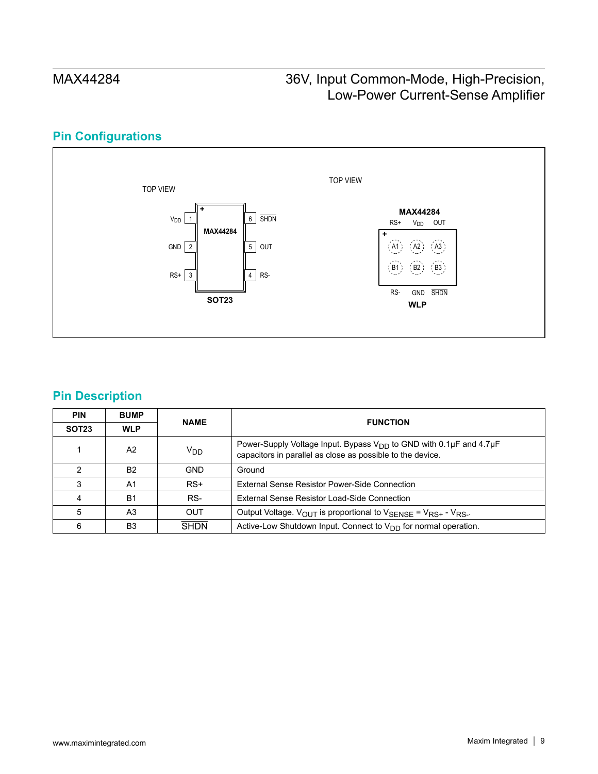# **Pin Configurations**



## **Pin Description**

| <b>PIN</b>        | <b>BUMP</b>    | <b>NAME</b>     | <b>FUNCTION</b>                                                                                                                       |  |
|-------------------|----------------|-----------------|---------------------------------------------------------------------------------------------------------------------------------------|--|
| SOT <sub>23</sub> | <b>WLP</b>     |                 |                                                                                                                                       |  |
|                   | A2             | V <sub>DD</sub> | Power-Supply Voltage Input. Bypass $V_{DD}$ to GND with 0.1µF and 4.7µF<br>capacitors in parallel as close as possible to the device. |  |
| າ                 | <b>B2</b>      | <b>GND</b>      | Ground                                                                                                                                |  |
| 3                 | A1             | $RS+$           | External Sense Resistor Power-Side Connection                                                                                         |  |
|                   | <b>B1</b>      | RS-             | External Sense Resistor Load-Side Connection                                                                                          |  |
| 5                 | A <sub>3</sub> | <b>OUT</b>      | Output Voltage. $V_{OUT}$ is proportional to $V_{SENSE} = V_{RS+} - V_{RS-}$ .                                                        |  |
| 6                 | B3             | <b>SHDN</b>     | Active-Low Shutdown Input. Connect to $V_{DD}$ for normal operation.                                                                  |  |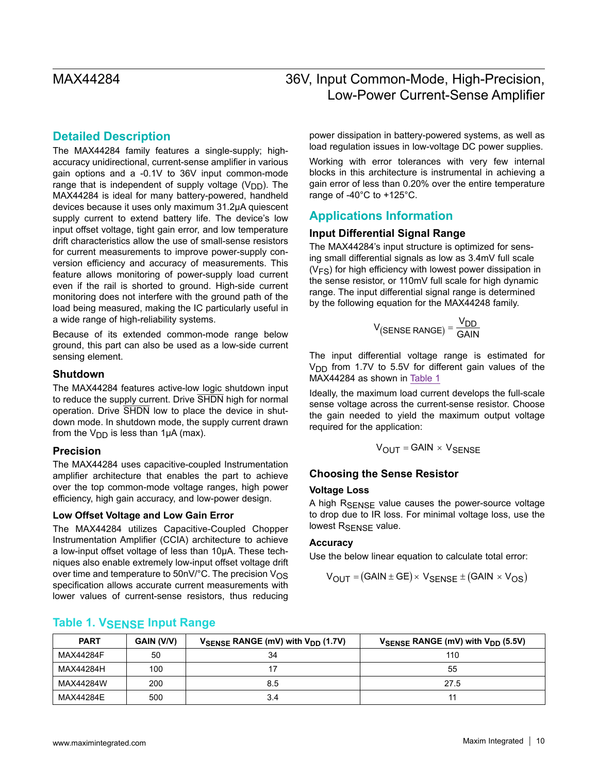## **Detailed Description**

The MAX44284 family features a single-supply; highaccuracy unidirectional, current-sense amplifier in various gain options and a -0.1V to 36V input common-mode range that is independent of supply voltage  $(V_{DD})$ . The MAX44284 is ideal for many battery-powered, handheld devices because it uses only maximum 31.2μA quiescent supply current to extend battery life. The device's low input offset voltage, tight gain error, and low temperature drift characteristics allow the use of small-sense resistors for current measurements to improve power-supply conversion efficiency and accuracy of measurements. This feature allows monitoring of power-supply load current even if the rail is shorted to ground. High-side current monitoring does not interfere with the ground path of the load being measured, making the IC particularly useful in a wide range of high-reliability systems.

Because of its extended common-mode range below ground, this part can also be used as a low-side current sensing element.

### **Shutdown**

The MAX44284 features active-low logic shutdown input to reduce the supply current. Drive SHDN high for normal operation. Drive SHDN low to place the device in shutdown mode. In shutdown mode, the supply current drawn from the  $V_{\text{DD}}$  is less than 1µA (max).

### **Precision**

The MAX44284 uses capacitive-coupled Instrumentation amplifier architecture that enables the part to achieve over the top common-mode voltage ranges, high power efficiency, high gain accuracy, and low-power design.

### **Low Offset Voltage and Low Gain Error**

The MAX44284 utilizes Capacitive-Coupled Chopper Instrumentation Amplifier (CCIA) architecture to achieve a low-input offset voltage of less than 10µA. These techniques also enable extremely low-input offset voltage drift over time and temperature to  $50nV$ °C. The precision  $V_{OS}$ specification allows accurate current measurements with lower values of current-sense resistors, thus reducing power dissipation in battery-powered systems, as well as load regulation issues in low-voltage DC power supplies.

Working with error tolerances with very few internal blocks in this architecture is instrumental in achieving a gain error of less than 0.20% over the entire temperature range of -40°C to +125°C.

### **Applications Information**

### **Input Differential Signal Range**

The MAX44284's input structure is optimized for sensing small differential signals as low as 3.4mV full scale  $(V<sub>FS</sub>)$  for high efficiency with lowest power dissipation in the sense resistor, or 110mV full scale for high dynamic range. The input differential signal range is determined by the following equation for the MAX44248 family.

$$
V_{(SENSE\,RANGE)} = \frac{V_{DD}}{GAN}
$$

The input differential voltage range is estimated for  $V<sub>DD</sub>$  from 1.7V to 5.5V for different gain values of the MAX44284 as shown in [Table 1](#page-9-0)

Ideally, the maximum load current develops the full-scale sense voltage across the current-sense resistor. Choose the gain needed to yield the maximum output voltage required for the application:

$$
V_{OUT} = GAIN \times V_{SENSE}
$$

### **Choosing the Sense Resistor**

### **Voltage Loss**

A high RSENSE value causes the power-source voltage to drop due to IR loss. For minimal voltage loss, use the lowest R<sub>SENSE</sub> value.

### **Accuracy**

Use the below linear equation to calculate total error:

$$
V_{\text{OUT}} = (\text{GAIN} \pm \text{GE}) \times V_{\text{SENSE}} \pm (\text{GAIN} \times V_{\text{OS}})
$$

| <b>PART</b> | GAIN (V/V) | $V_{\text{SENSE}}$ RANGE (mV) with $V_{\text{DD}}$ (1.7V) | $V_{\text{SENSE}}$ RANGE (mV) with $V_{\text{DD}}$ (5.5V) |
|-------------|------------|-----------------------------------------------------------|-----------------------------------------------------------|
| MAX44284F   | 50         | 34                                                        | 110                                                       |
| MAX44284H   | 100        |                                                           | 55                                                        |
| MAX44284W   | 200        | 8.5                                                       | 27.5                                                      |
| MAX44284E   | 500        | 3.4                                                       |                                                           |

### <span id="page-9-0"></span>**Table 1. VSENSE Input Range**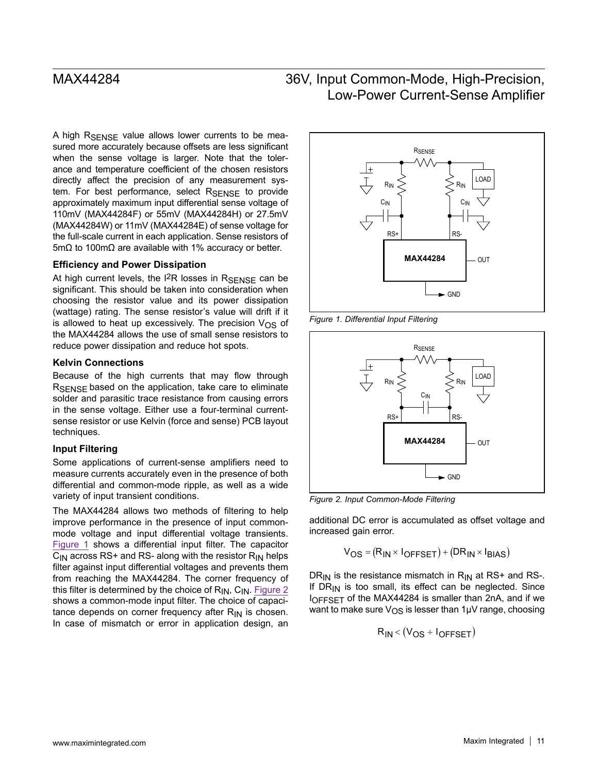A high  $R_{\text{SFRSE}}$  value allows lower currents to be measured more accurately because offsets are less significant when the sense voltage is larger. Note that the tolerance and temperature coefficient of the chosen resistors directly affect the precision of any measurement system. For best performance, select RSENSE to provide approximately maximum input differential sense voltage of 110mV (MAX44284F) or 55mV (MAX44284H) or 27.5mV (MAX44284W) or 11mV (MAX44284E) of sense voltage for the full-scale current in each application. Sense resistors of 5mΩ to 100mΩ are available with 1% accuracy or better.

### **Efficiency and Power Dissipation**

At high current levels, the  $12R$  losses in  $R_{\text{SENSE}}$  can be significant. This should be taken into consideration when choosing the resistor value and its power dissipation (wattage) rating. The sense resistor's value will drift if it is allowed to heat up excessively. The precision  $V_{OS}$  of the MAX44284 allows the use of small sense resistors to reduce power dissipation and reduce hot spots.

### **Kelvin Connections**

Because of the high currents that may flow through R<sub>SENSE</sub> based on the application, take care to eliminate solder and parasitic trace resistance from causing errors in the sense voltage. Either use a four-terminal currentsense resistor or use Kelvin (force and sense) PCB layout techniques.

### **Input Filtering**

Some applications of current-sense amplifiers need to measure currents accurately even in the presence of both differential and common-mode ripple, as well as a wide variety of input transient conditions.

The MAX44284 allows two methods of filtering to help improve performance in the presence of input commonmode voltage and input differential voltage transients. [Figure 1](#page-10-0) shows a differential input filter. The capacitor  $C_{\text{IN}}$  across RS+ and RS- along with the resistor R<sub>IN</sub> helps filter against input differential voltages and prevents them from reaching the MAX44284. The corner frequency of this filter is determined by the choice of  $R_{IN}$ ,  $C_{IN}$ . [Figure 2](#page-10-1) shows a common-mode input filter. The choice of capacitance depends on corner frequency after  $R_{IN}$  is chosen. In case of mismatch or error in application design, an

<span id="page-10-0"></span>

*Figure 1. Differential Input Filtering*

<span id="page-10-1"></span>

*Figure 2. Input Common-Mode Filtering*

additional DC error is accumulated as offset voltage and increased gain error.

$$
V_{OS} = (R_{IN} \times I_{OFFSET}) + (DR_{IN} \times I_{BIAS})
$$

DR<sub>IN</sub> is the resistance mismatch in  $R_{IN}$  at RS+ and RS-. If  $DR_{IN}$  is too small, its effect can be neglected. Since IOFFSET of the MAX44284 is smaller than 2nA, and if we want to make sure  $V_{OS}$  is lesser than 1 $\mu$ V range, choosing

$$
R_{IN} < (V_{OS} \div I_{OFFSET})
$$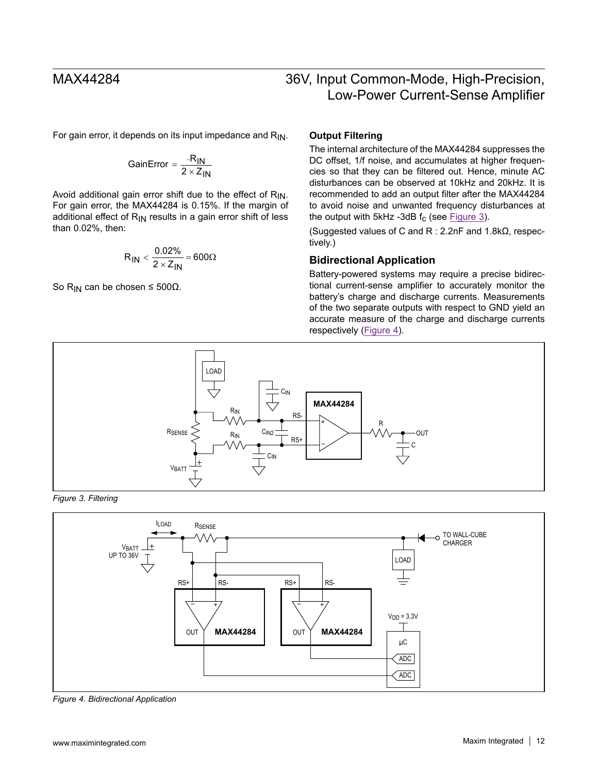For gain error, it depends on its input impedance and  $R_{IN}$ .

$$
GainError = \frac{-R_{IN}}{2 \times Z_{IN}}
$$

Avoid additional gain error shift due to the effect of  $R_{IN}$ . For gain error, the MAX44284 is 0.15%. If the margin of additional effect of  $R_{IN}$  results in a gain error shift of less than 0.02%, then:

$$
R_{IN} < \frac{0.02\%}{2 \times Z_{IN}} = 600\Omega
$$

So R<sub>IN</sub> can be chosen  $\leq 500\Omega$ .

### **Output Filtering**

The internal architecture of the MAX44284 suppresses the DC offset, 1/f noise, and accumulates at higher frequencies so that they can be filtered out. Hence, minute AC disturbances can be observed at 10kHz and 20kHz. It is recommended to add an output filter after the MAX44284 to avoid noise and unwanted frequency disturbances at the output with 5kHz -3dB  $f_c$  (see [Figure 3](#page-11-0)).

(Suggested values of C and R : 2.2nF and 1.8kΩ, respectively.)

### **Bidirectional Application**

Battery-powered systems may require a precise bidirectional current-sense amplifier to accurately monitor the battery's charge and discharge currents. Measurements of the two separate outputs with respect to GND yield an accurate measure of the charge and discharge currents respectively ([Figure 4](#page-11-1)).

<span id="page-11-0"></span>

*Figure 3. Filtering*

<span id="page-11-1"></span>

*Figure 4. Bidirectional Application*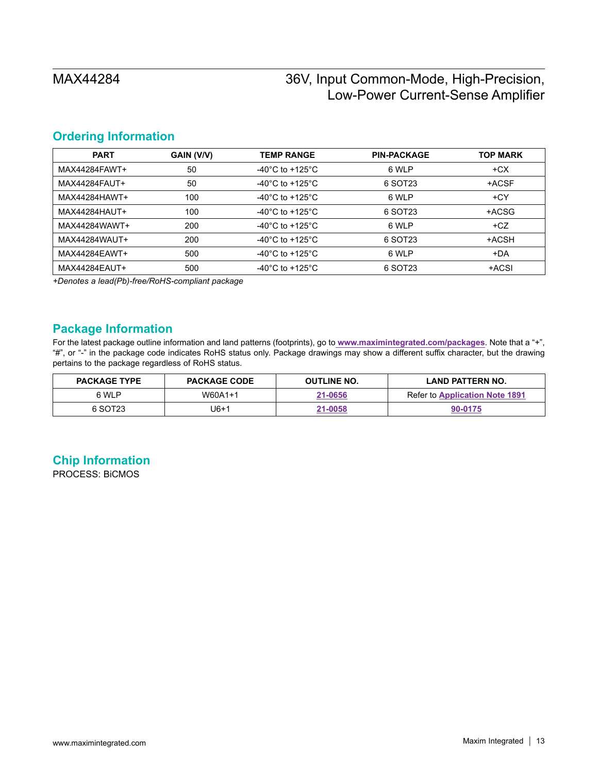## <span id="page-12-0"></span>**Ordering Information**

| <b>PART</b>   | GAIN (V/V) | <b>TEMP RANGE</b>                     | <b>PIN-PACKAGE</b> | <b>TOP MARK</b> |
|---------------|------------|---------------------------------------|--------------------|-----------------|
| MAX44284FAWT+ | 50         | -40 $^{\circ}$ C to +125 $^{\circ}$ C | 6 WLP              | $+CX$           |
| MAX44284FAUT+ | 50         | -40 $^{\circ}$ C to +125 $^{\circ}$ C | 6 SOT23            | +ACSF           |
| MAX44284HAWT+ | 100        | -40°C to +125°C                       | 6 WLP              | $+CY$           |
| MAX44284HAUT+ | 100        | -40°C to +125°C                       | 6 SOT23            | +ACSG           |
| MAX44284WAWT+ | 200        | -40°C to +125°C.                      | 6 WLP              | $+CZ$           |
| MAX44284WAUT+ | 200        | -40°C to +125°C                       | 6 SOT23            | +ACSH           |
| MAX44284EAWT+ | 500        | -40 $^{\circ}$ C to +125 $^{\circ}$ C | 6 WLP              | +DA             |
| MAX44284EAUT+ | 500        | -40 $^{\circ}$ C to +125 $^{\circ}$ C | 6 SOT23            | +ACSI           |

*+Denotes a lead(Pb)-free/RoHS-compliant package*

## **Package Information**

For the latest package outline information and land patterns (footprints), go to **www.maximintegrated.com/packages**. Note that a "+", "#", or "-" in the package code indicates RoHS status only. Package drawings may show a different suffix character, but the drawing pertains to the package regardless of RoHS status.

| <b>PACKAGE TYPE</b> | <b>PACKAGE CODE</b> | <b>OUTLINE NO.</b> | LAND PATTERN NO.                      |
|---------------------|---------------------|--------------------|---------------------------------------|
| 6 WLP               | W60A1+1             | 21-0656            | <b>Refer to Application Note 1891</b> |
| 6 SOT23             | J6+1                | 21-0058            | 90-0175                               |

# **Chip Information**

PROCESS: BiCMOS